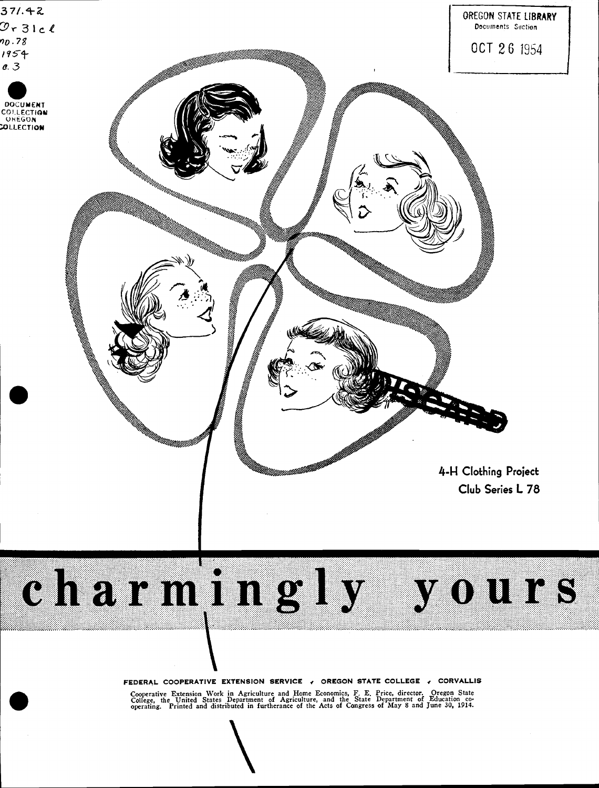



FEDERAL COOPERATIVE EXTENSION SERVICE , OREGON STATE COLLEGE , CORVALLIS

Cooperative Extension Work in Agriculture and Home Economics, F. E. Price, director. Oregon State<br>College, the United States Department of Agriculture, and the State Department of Education co-<br>operating. Printed and distr

 $\overline{\phantom{a}}$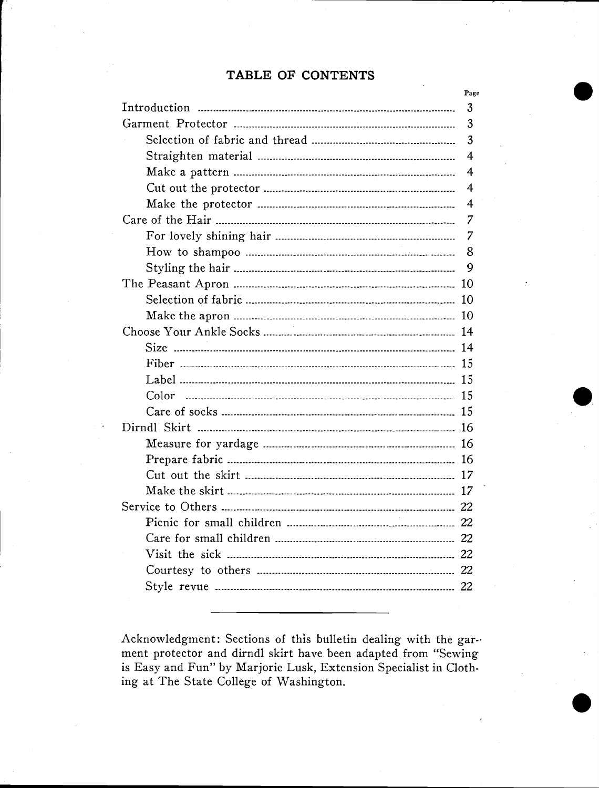### TABLE OF CONTENTS

| Page           |
|----------------|
| 3              |
| 3              |
| 3              |
| $\overline{4}$ |
| 4              |
| 4              |
| 4              |
| 7              |
| 7              |
| 8              |
| 9              |
|                |
|                |
|                |
|                |
|                |
|                |
|                |
|                |
|                |
|                |
|                |
|                |
|                |
|                |
|                |
|                |
|                |
|                |
|                |
|                |
|                |

Acknowledgment: Sections of this bulletin dealing with the garment protector and dirndl skirt have been adapted from "Sewing is Easy and Fun" by Marjorie Lusk, Extension Specialist in Clothing at The State College of Washington.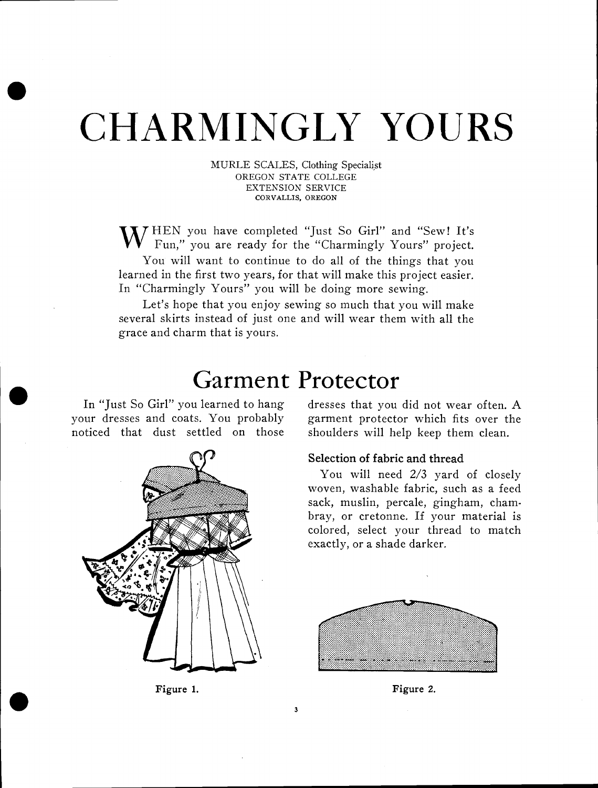# . CHARMINGLY YOURS

MURLE SCALES, Clothing Specialist OREGON STATE COLLEGE EXTENSION SERVICE CORVALLIS, OREGON

'XTHEN YOU have completed "Just So Girl" and "Sew! It's Fun," you are ready for the "Charmingly Yours" project. You will want to continue to do all of the things that you learned in the first two years, for that will make this project easier. In "Charmingly Yours" you will be doing more sewing.

Let's hope that you enjoy sewing so much that you will make several skirts instead of just one and will wear them with all the grace and charm that is yours.

## Garment Protector

3

your dresses and coats. You probably garment protector which fits over the noticed that dust settled on those shoulders will help keep them clean.



Figure 1.

In "Just So Girl" you learned to hang dresses that you did not wear often. A

#### Selection of fabric and thread

You will need 2/3 yard of closely woven, washable fabric, such as a feed sack, muslin, percale, gingham, chambray, or cretonne. If your material is colored, select your thread to match exactly, or a shade darker.



Figure 2.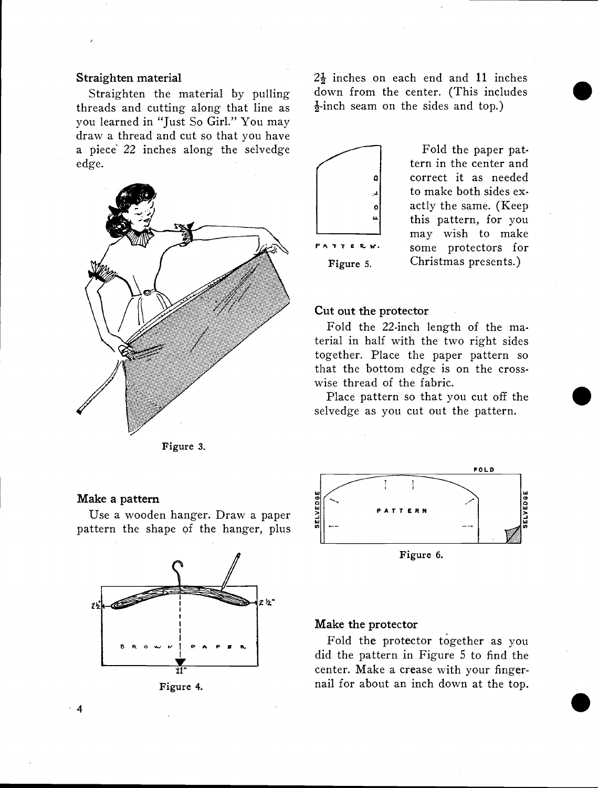#### Straighten material

Straighten the material by pulling threads and cutting along that line as you learned in "Just So Girl." You may draw a thread and cut so that you have a piece 22 inches along the selvedge edge.



Figure 3.

#### Make a pattern

ake a pattern<br>Use a wooden hanger. Draw a paper<br>ttern the shape of the hanger. plus pattern the shape of the hanger, plus





 $2\frac{1}{2}$  inches on each end and 11 inches down from the center. (This includes  $\frac{1}{2}$ -inch seam on the sides and top.)



Fold the paper pattern in the center and correct it as needed to make both sides exactly the same. (Keep this pattern, for you may wish to make  $P$  A T T E R  $\kappa$ . Some protectors for Figure 5. Christmas presents.)

#### Cut out the protector

Fold the 22.inch length of the material in half with the two right sides together. Place the paper pattern so that the bottom edge is on the crosswise thread of the fabric.

Place pattern so that you cut off the selvedge as you cut out the pattern.



Figure 6.

#### Make the protector

Fold the protector together as you did the pattern in Figure 5 to find the center. Make a crease with your fingernail for about an inch down at the top. and the pattern in Figure 5 to find the center. Make a crease with your finger-<br>Figure 4. and if or about an inch down at the top.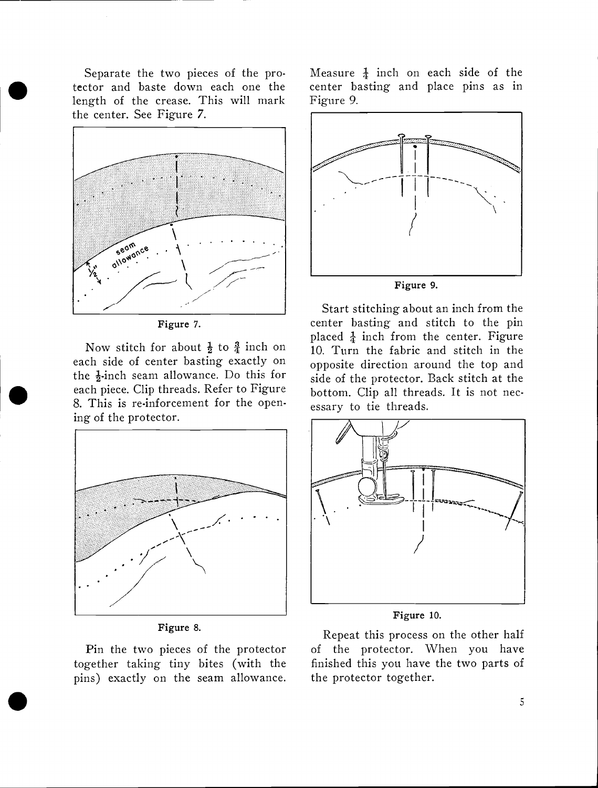Separate the two pieces of the protector and baste down each one the length of the crease. This will mark the center. See Figure 7.



Figure 7.

Now stitch for about  $\frac{1}{2}$  to  $\frac{3}{4}$  inch on each side of center basting exactly on the  $\frac{1}{2}$ -inch seam allowance. Do this for each piece. Clip threads. Refer to Figure 8. This is re-inforcement for the opening of the protector.



Figure 8.

Pin the two pieces of the protector together taking tiny bites (with the pins) exactly on the seam allowance.

 $\bullet$  . The contract of  $\bullet$ 

Measure  $\frac{1}{4}$  inch on each side of the center basting and place pins as in Figure 9.



Start stitching about an inch from the center basting and stitch to the pin placed  $\frac{1}{4}$  inch from the center. Figure 10. Turn the fabric and stitch in the opposite direction around the top and side of the protector. Back stitch at the bottom. Clip all threads. It is not necessary to tie threads.



Figure 10.

Repeat this process on the other half of the protector. When you have finished this you have the two parts of the protector together.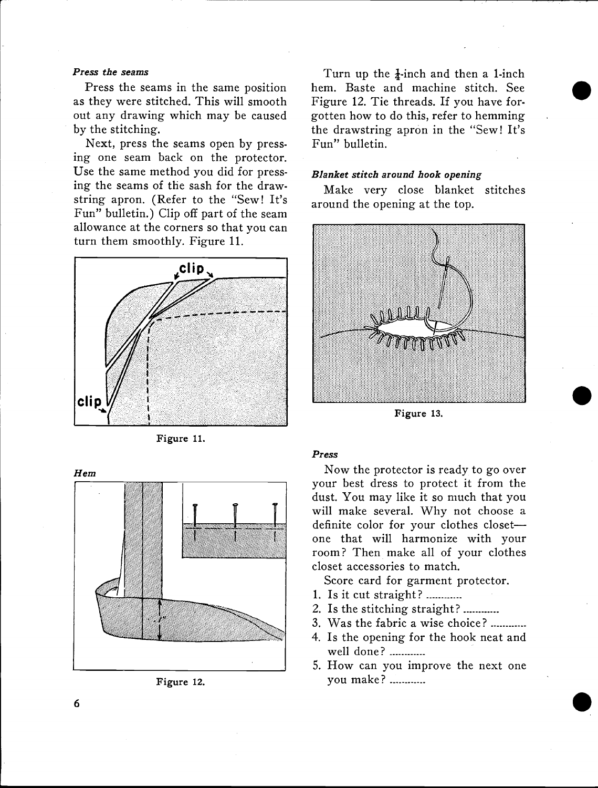#### Press the seams

Press the seams in the same position as they were stitched. This will smooth out any drawing which may be caused by the stitching.

Next, press the seams open by pressing one seam back on the protector. Use the same method you did for pressing the seams of the sash for the drawstring apron. (Refer to the "Sew! It's Fun" bulletin.) Clip off part of the seam allowance at the corners so that you can turn them smoothly. Figure 11.



Figure 11.





Turn up the  $\frac{1}{4}$ -inch and then a 1-inch hem. Baste and machine stitch. See Figure 12. Tie threads. If you have forgotten how to do this, refer to hemming the drawstring apron in the "Sew! It's Fun" bulletin.

#### Blanket stitch around hook opening

Make very close blanket stitches around the opening at the top.



Figure 13.

#### Press

Now the protector is ready to go over your best dress to protect it from the dust. You may like it so much that you will make several. Why not choose a definite color for your clothes closet one that will harmonize with your room? Then make all of your clothes closet accessories to match.

Score card for garment protector.

- 1. Is it cut straight? ............
- 2. Is the stitching straight?
- 3. Was the fabric a wise choice?
- 4. Is the opening for the hook neat and well done?
- 5. How can you improve the next one you make? ............

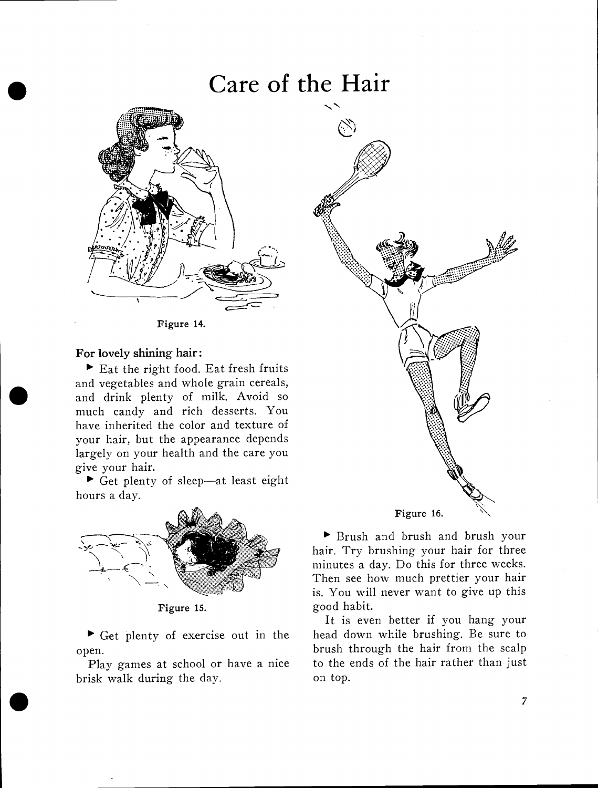# Care of the Hair



Figure 14.

### For lovely shining hair:

 $\blacktriangleright$  Eat the right food. Eat fresh fruits and vegetables and whole grain cereals, and drink plenty of milk. Avoid so much candy and rich desserts. You have inherited the color and texture of your hair, but the appearance depends largely on your health and the care you give your hair.

 $\blacktriangleright$  Get plenty of sleep-at least eight hours a day.



Get plenty of exercise out in the open.

Play games at school or have a nice brisk walk during the day.



Brush and brush and brush your hair. Try brushing your hair for three minutes a day. Do this for three weeks. Then see how much prettier your hair is. You will never want to give up this good habit.

It is even better if you hang your head down while brushing. Be sure to brush through the hair from the scalp to the ends of the hair rather than just on top.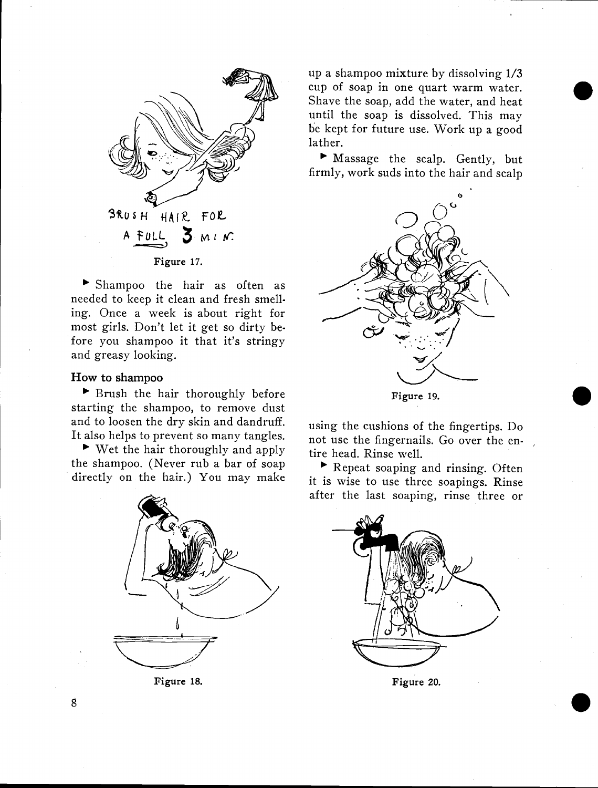

Shampoo the hair as often as needed to keep it clean and fresh smelling. Once a week is about right for most girls. Don't let it get so dirty before you shampoo it that it's stringy and greasy looking.

#### How to shampoo

Brush the hair thoroughly before starting the shampoo, to remove dust and to loosen the dry skin and dandruff. It also helps to prevent so many tangles.

 $\blacktriangleright$  Wet the hair thoroughly and apply the shampoo. (Never rub a bar of soap directly on the hair.) You may make



Figure 18.

up a shampoo mixture by dissolving 1/3 cup of soap in one quart warm water. Shave the soap, add the water, and heat until the soap is dissolved. This may be kept for future use. Work up a good lather.

Massage the scalp. Gently, but firmly, work suds into the hair and scalp



using the cushions of the fingertips. Do not use the fingernails. Go over the entire head. Rinse well.

Repeat soaping and rinsing. Often it is wise to use three soapings. Rinse after the last soaping, rinse three or



Figure 20.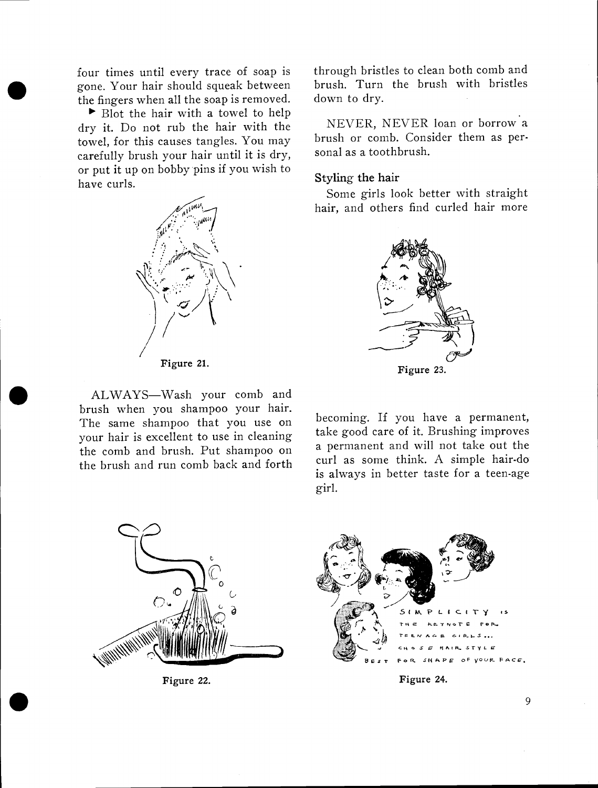gone. Your hair should squeak between brush.<br>the fingers when all the soap is removed. down t four times until every trace of soap is the fingers when all the soap is removed.

 $\blacktriangleright$  Blot the hair with a towel to help dry it. Do not rub the hair with the towel, for this causes tangles. You may carefully brush your hair until it is dry, or put it up on bobby pins if you wish to have curls.



ALWAYS—Wash your comb and<br>brush when you shampoo your hair. ALWAYS-Wash your comb and The same shampoo that you use on your hair is excellent to use in cleaning the comb and brush. Put shampoo on the brush and run comb back and forth

through bristles to clean both comb and brush. Turn the brush with bristles down to dry.

NEVER, NEVER loan or borrow a brush or comb. Consider them as personal as a toothbrush.

#### Styling the hair

Some girls look better with straight hair, and others find curled hair more



becoming. If you have a permanent, take good care of it. Brushing improves a permanent and will not take out the curl as some think. A simple hair-do is always in better taste for a teen-age girl.



Figure 22.



Figure 22. Figure 24.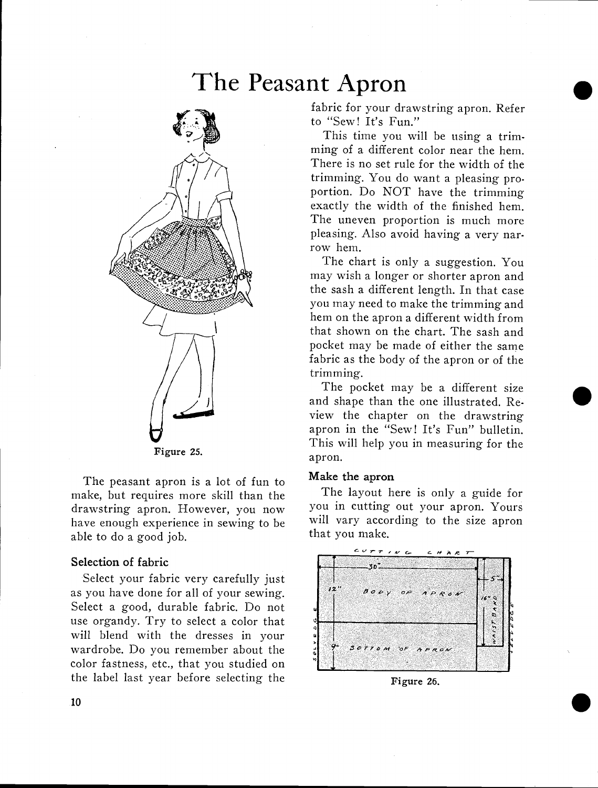# The Peasant Apron



The peasant apron is a lot of fun to make, but requires more skill than the drawstring apron. However, you now have enough experience in sewing to be able to do a good job.

#### Selection of fabric

Select your fabric very carefully just as you have done for all of your sewing. Select a good, durable fabric. Do not use organdy. Try to select a color that will blend with the dresses in your wardrobe. Do you remember about the color fastness, etc., that you studied on the label last year before selecting the

fabric for your drawstring apron. Refer to "Sew! It's Fun."

 $\bullet$ 

 $\bullet$ 

This time you will be using a trimming of a different color near the hem. There is no set rule for the width of the trimming. You do want a pleasing proportion. Do NOT have the trimming exactly the width of the finished hem. The uneven proportion is much more pleasing. Also avoid having a very narrow hem.

The chart is only a suggestion. You may wish a longer or shorter apron and the sash a different length. In that case you may need to make the trimming and hem on the apron a different width from that shown on the chart. The sash and pocket may be made of either the same fabric as the body of the apron or of the trimming.

The pocket may be a different size and shape than the one illustrated. Review the chapter on the drawstring apron in the "Sew! It's Fun" bulletin. This will help you in measuring for the apron.

#### Make the apron

The layout here is only a guide for you in cutting out your apron. Yours will vary according to the size apron that you make.



Figure 26.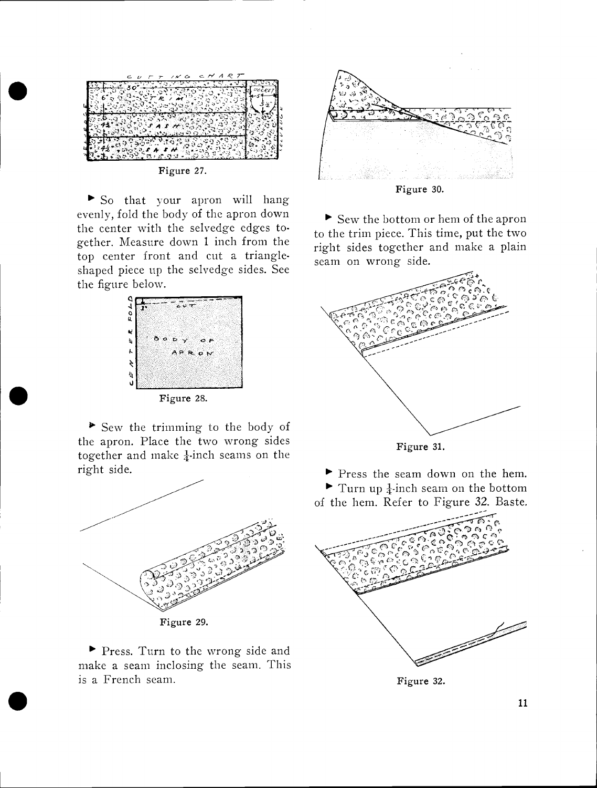

Figure 27.

So that your apron will hang evenly, fold the body of the apron down the center with the selvedge edges together. Measure down 1 inch from the top center front and cut a triangleshaped piece tip the selvedge sides. See the figure below.



Figure 28.

Sew the trimming to the body of the apron. Place the two wrong sides together and make  $\frac{1}{4}$ -inch seams on the right side.



Press. Turn to the wrong side and make a seam inclosing the seam. This is a French seam.

 $\bullet$  such a set  $\bullet$ 



Figure 30.

Sew the bottom or hem of the apron to the trim piece. This time, put the two right sides together and make a plain seam on wrong side.



Figure 31.

Press the seam down on the hem.  $\blacktriangleright$  Turn up  $\frac{1}{4}$ -inch seam on the bottom of the hem. Refer to Figure 32. Baste.



Figure 32.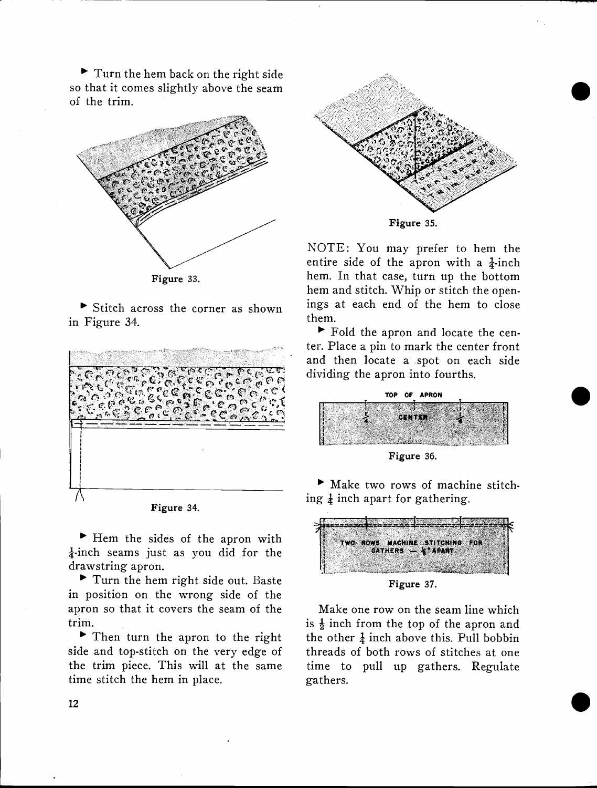Turn the hem back on the right side so that it comes slightly above the seam of the trim.



 $\triangleright$  Stitch across the corner as shown in Figure 34.





 $\blacktriangleright$  Hem the sides of the apron with  $\frac{1}{4}$ -inch seams just as you did for the drawstring apron.

Turn the hem right side out. Baste in position on the wrong side of the apron so that it covers the seam of the trim.

Then turn the apron to the right side and top-stitch on the very edge of the trim piece. This will at the same time stitch the hem in place.



 $\bullet$ 

NOTE: You may prefer to hem the entire side of the apron with a  $\frac{1}{4}$ -inch hem. In that case, turn up the bottom hem and stitch. Whip or stitch the openings at each end of the hem to close

Fold the apron and locate the center. Place a pin to mark the center front and then locate a spot on each side dividing the apron into fourths.

them.



Figure 36.

Make two rows of machine stitch ing  $\frac{1}{4}$  inch apart for gathering.



Figure 37.

Make one row on the seam line which is  $\frac{1}{2}$  inch from the top of the apron and the other  $\frac{1}{4}$  inch above this. Pull bobbin threads of both rows of stitches at one time to pull up gathers. Regulate gathers.

 $\bullet$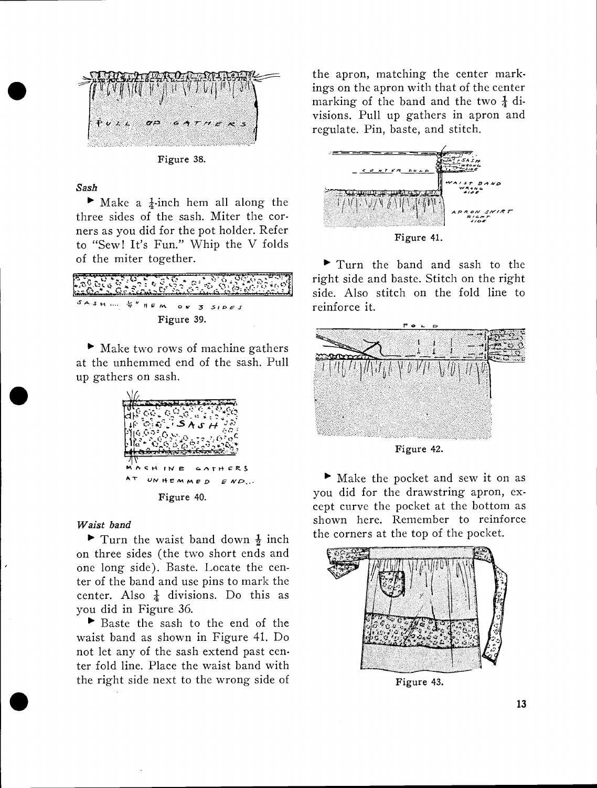

Figure 38.

#### Sash

ii

 $\blacktriangleright$  Make a  $\frac{1}{4}$ -inch hem all along the three sides of the sash. Miter the corners as you did for the pot holder. Refer to "Sew! It's Fun." Whip the V folds of the miter together.

| SASH  & " HEM ON 3 SIDES |  |            |  |  |
|--------------------------|--|------------|--|--|
|                          |  | Figure 39. |  |  |

 $\blacktriangleright$  Make two rows of machine gathers at the unhemmed end of the sash. Pull up gathers on sash.



#### Waist band

Turn the waist band down  $\frac{1}{2}$  inch on three sides (the two short ends and one long side). Baste. Locate the center of the band and use pins to mark the center. Also  $\frac{1}{4}$  divisions. Do this as you did in Figure 36.

Baste the sash to the end of the waist band as shown in Figure 41. Do not let any of the sash extend past center fold line. Place the waist band with the right side next to the wrong side of

the apron, matching the center markings on the apron with that of the center marking of the band and the two  $\frac{1}{4}$  divisions. Pull up gathers in apron and regulate. Pin, baste, and stitch.



Turn the band and sash to the right side and baste. Stitch on the right side. Also stitch on the fold line to reinforce it.



Figure 42.

Make the pocket and sew it on as you did for the drawstring apron, except curve the pocket at the bottom as shown here. Remember to reinforce the corners at the top of the pocket.



Figure 43.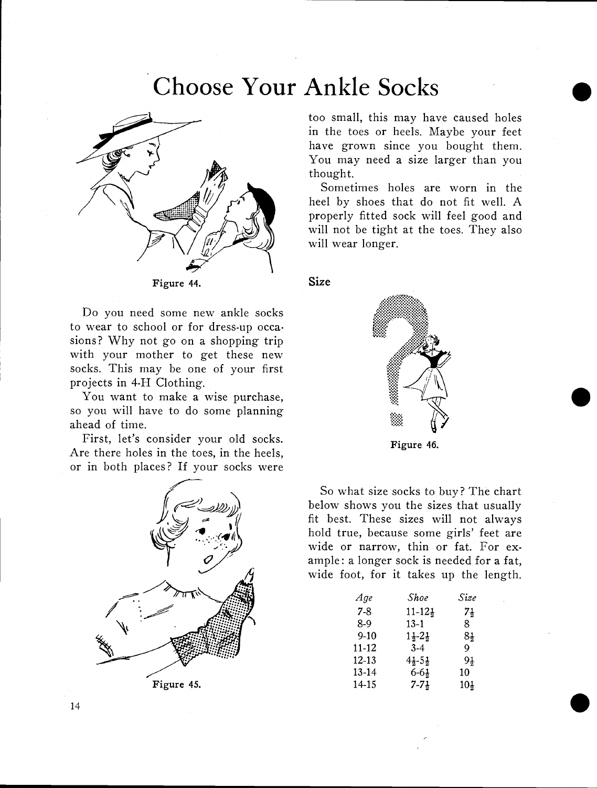# Choose Your Ankle Socks



Figure 44.

Do you need some new ankle socks to wear to school or for dress-up occasions? Why not go on a shopping trip with your mother to get these new socks. This may be one of your first projects in 4-H Clothing.

You want to make a wise purchase, so you will have to do some planning ahead of time.

First, let's consider your old socks. Are there holes in the toes, in the heels, or in both places? If your socks were



too small, this may have caused holes in the toes or heels. Maybe your feet have grown since you bought them. You may need a size larger than you thought.

Sometimes holes are worn in the heel by shoes that do not fit well. A properly fitted sock will feel good and will not be tight at the toes. They also will wear longer.

#### Size



So what size socks to buy? The chart below shows you the sizes that usually fit best. These sizes will not always hold true, because some girls' feet are wide or narrow, thin or fat. For example: a longer sock is needed for a fat, wide foot, for it takes up the length.

| Age       | Shoe                          | Size           |  |
|-----------|-------------------------------|----------------|--|
| $7-8$     | $11 - 12\frac{1}{2}$          | $7\frac{1}{2}$ |  |
| 8-9       | $13-1$                        | 8              |  |
| $9-10$    | $1\frac{1}{2} - 2\frac{1}{2}$ | 84             |  |
| 11-12     | $3-4$                         | Q              |  |
| $12 - 13$ | $4\frac{1}{2} - 5\frac{1}{2}$ | 9†             |  |
| 13-14     | $6 - 6\frac{1}{2}$            | 10             |  |
| 14-15     | $7 - 7\frac{1}{2}$            | 104            |  |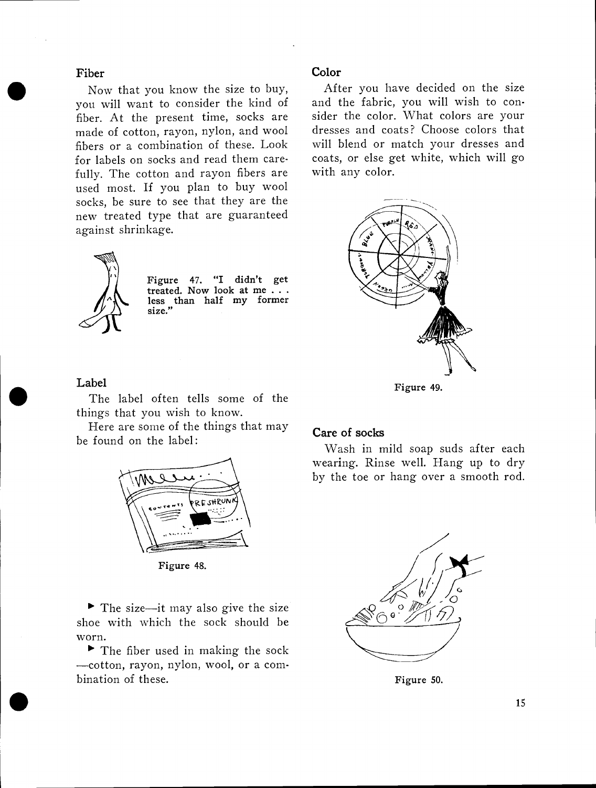### Fiber

Now that you know the size to buy, you will want to consider the kind of fiber. At the present time, socks are made of cotton, rayon, nylon, and wool fibers or a combination of these. Look for labels on socks and read them carefully. The cotton and rayon fibers are used most. If you plan to buy wool socks, be sure to see that they are the new treated type that are guaranteed against shrinkage.



Figure 47. "I didn't get treated. Now look at me less than half my former size."

### Color

After you have decided on the size and the fabric, you will wish to consider the color. What colors are your dresses and coats? Choose colors that will blend or match your dresses and coats, or else get white, which will go with any color.



Figure 49.

#### Label

 $\bullet$  United States and States and States and States and States and States and States and States and States and States and States and States and States and States and States and States and States and States and States and

The label often tells some of the things that you wish to know.

Here are some of the things that may be found on the label;



Figure 48.

 $\blacktriangleright$  The size—it may also give the size shoe with which the sock should be worn.

 $\blacktriangleright$  The fiber used in making the sock -cotton, rayon, nylon, wool, or a combination of these.

### Care of socks

Wash in mild soap suds after each wearing. Rinse well. Hang up to dry by the toe or hang over a smooth rod.



Figure 50.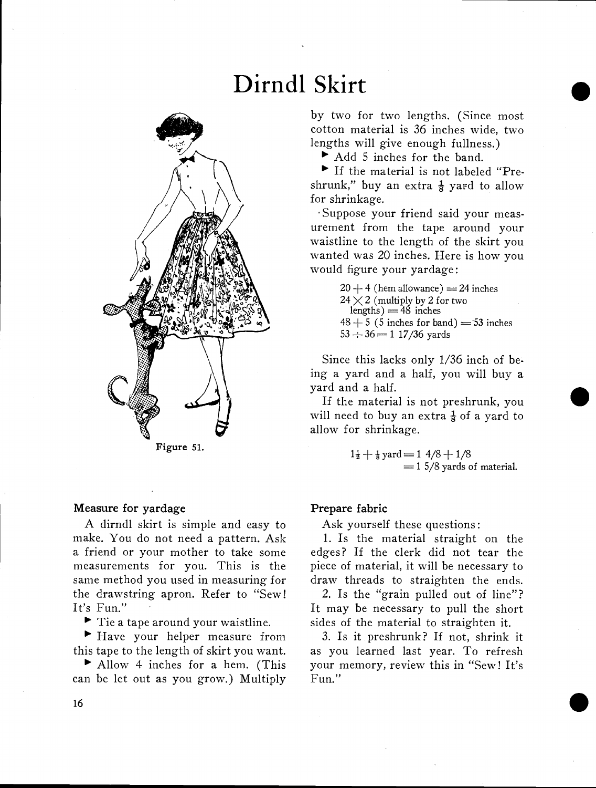# Dirndl Skirt



Figure 51.

#### Measure for yardage

A dirndl skirt is simple and easy to make. You do not need a pattern. Ask a friend or your mother to take some measurements for you. This is the same method you used in measuring for the drawstring apron. Refer to "Sew! It's Fun."

 $\blacktriangleright$  Tie a tape around your waistline.

 $\blacktriangleright$  Have your helper measure from this tape to the length of skirt you want.

Allow 4 inches for a hem. (This can be let out as you grow.) Multiply

by two for two lengths. (Since most cotton material is 36 inches wide, two lengths will give enough fullness.)

Add 5 inches for the band.

If the material is not labeled "Preshrunk," buy an extra  $\frac{1}{8}$  yard to allow for shrinkage.

Suppose your friend said your measurement from the tape around your waistline to the length of the skirt you wanted was 20 inches. Here is how you would figure your yardage:

> $20 + 4$  (hem allowance) = 24 inches  $24 \times 2$  (multiply by 2 for two lengths)  $=48$  inches  $48 + 5$  (5 inches for band) = 53 inches  $53 \div 36 = 1$  17/36 yards

Since this lacks only 1/36 inch of being a yard and a half, you will buy a yard and a half.

If the material is not preshrunk, you will need to buy an extra  $\frac{1}{8}$  of a yard to allow for shrinkage.

$$
1\frac{1}{2} + \frac{1}{8} \text{ yard} = 1 \frac{4}{8} + \frac{1}{8}
$$
  
= 1 5/8 yards of material.

#### Prepare fabric

Ask yourself these questions:

1. Is the material straight on the edges? If the clerk did not tear the piece of material, it will be necessary to draw threads to straighten the ends.

2. Is the "grain pulled out of line"? It may be necessary to pull the short sides of the material to straighten it.

3. Is it preshrunk? If not, shrink it as you learned last year. To refresh your memory, review this in "Sew! It's Fun." • Allow 4 inches for a hem. (This your memory, review this in "Sew! It's can be let out as you grow.) Multiply Fun."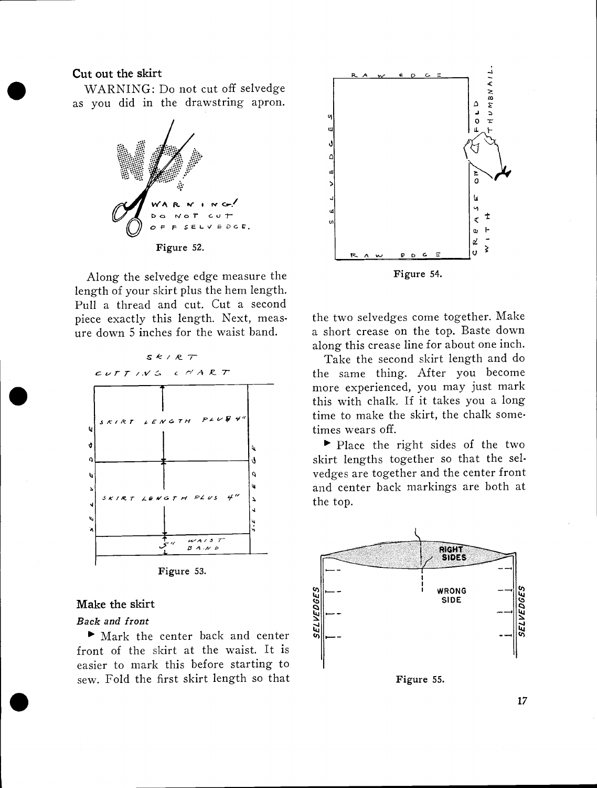#### Cut out the skirt

WARNING: Do not cut off selvedge as you did in the drawstring apron.



Along the selvedge edge measure the length of your skirt plus the hem length. Pull a thread and cut. Cut a second piece exactly this length. Next, measure down 5 inches for the waist band.



#### Make the skirt

#### Back and front

I. In the set of  $\blacksquare$ 

Solid the skirt<br>
Nark and front<br>
Mark the center back and center front of the skirt at the waist. It is easier to mark this before starting to sew. Fold the first skirt length so that



the two selvedges come together. Make a short crease on the top. Baste down along this crease line for about one inch.

Take the second skirt length and do the same thing. After you become more experienced, you may just mark this with chalk. If it takes you a long time to make the skirt, the chalk sometimes wears off.

Place the right sides of the two skirt lengths together so that the selvedges are together and the center front and center back markings are both at the top.

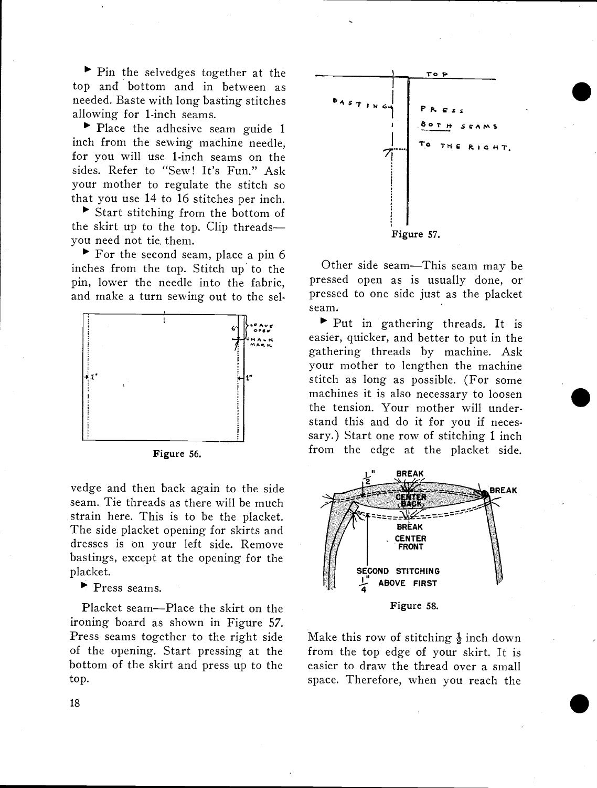$\blacktriangleright$  Pin the selvedges together at the top and bottom and in between as needed. Baste with long basting stitches allowing for 1-inch seams.

Place the adhesive seam guide 1 inch from the sewing machine needle, for you will use 1-inch seams on the sides. Refer to "Sew! It's Fun." Ask your mother to regulate the stitch so that you use 14 to 16 stitches per inch.

Start stitching from the bottom of the skirt up to the top. Clip threads you need not tie, them.

For the second seam, place a pin 6 inches from the top. Stitch up to the pin, lower the needle into the fabric, and make a turn sewing out to the sel-





vedge and then back again to the side seam. Tie threads as there will be much strain here. This is to be the placket. The side placket opening for skirts and dresses is on your left side. Remove bastings, except at the opening for the placket.

Press seams.

Placket seam--Place the skirt on the ironing board as shown in Figure 57. Press seams together to the right side of the opening. Start pressing at the bottom of the skirt and press up to the top.



 $\bullet$ 

 $\bullet$ 

.

Other side seam-This seam may be pressed open as is usually done, or pressed to one side just as the placket seam.

Put in gathering threads. It is easier, quicker, and better to put in the gathering threads by machine. Ask your mother to lengthen the machine stitch as long as possible. (For some machines it is also necessary to loosen the tension. Your mother will understand this and do it for you if necessary.) Start one row of stitching 1 inch from the edge at the placket side.



Make this row of stitching  $\frac{1}{2}$  inch down from the top edge of your skirt. It is easier to draw the thread over a small space. Therefore, when you reach the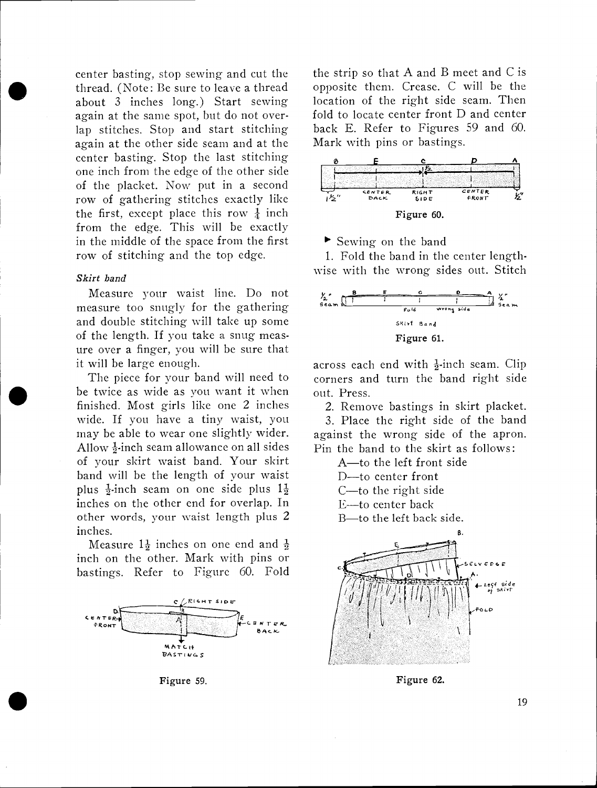thread. (Note: Be sure to leave a thread opposite about 3 inches long.) Start sewing locatio center basting, stop sewing and cut the about 3 inches long.) Start sewing again at the same spot, but do not overlap stitches. Stop and start stitching again at the other side seam and at the center basting. Stop the last stitching one inch from the edge of the other side of the placket. Now put in a second row of gathering stitches exactly like the first, except place this row  $\frac{1}{4}$  inch from the edge. This will be exactly in the middle of the space from the first row of stitching and the top edge.

#### Skirt band

 $\bullet$ 

Measure your waist line. Do not measure too snugly for the gathering and double stitching will take up some of the length. If you take a snug measure over a finger, you will be sure that it will be large enough.

The piece for your band will need to be twice as wide as you want it when finished. Most girls like one 2 inches wide. If you have a tiny waist, you may be able to wear one slightly wider. Allow  $\frac{1}{2}$ -inch seam allowance on all sides of your skirt waist band. Your skirt band will be the length of your waist plus  $\frac{1}{2}$ -inch seam on one side plus  $1\frac{1}{2}$ inches on the other end for overlap. In other words, your waist length plus 2 inches.

Measure  $1\frac{1}{2}$  inches on one end and  $\frac{1}{2}$ inch on the other. Mark with pins or bastings. Refer to Figure 60. Fold



Figure 59.

the strip so that A and B meet and C is opposite them. Crease. C will be the location of the right side seam. Then fold to locate center front D and center back E. Refer to Figures 59 and 60. Mark with pins or bastings.



Sewing on the band

1. Fold the band in the center lengthwise with the wrong sides out. Stitch



across each end with  $\frac{1}{2}$ -inch seam. Clip corners and turn the band right side out. Press.

2. Remove bastings in skirt placket.

3. Place the right side of the band against the wrong side of the apron. Pin the band to the skirt as follows:

A-to the left front side

D--to center front

C-to the right side

E-to center back

B-to the left back side.



Figure 62.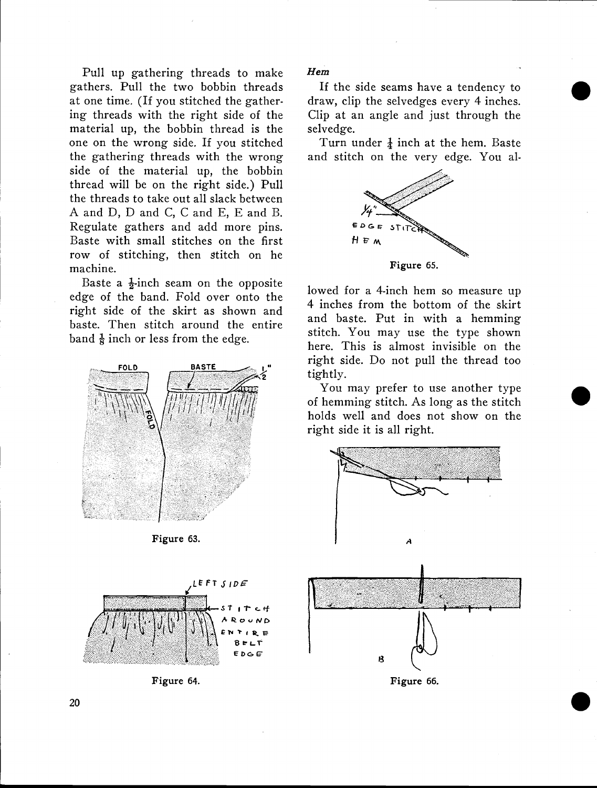Pull up gathering threads to make gathers. Pull the two bobbin threads at one time. (If you stitched the gathering threads with the right side of the material up, the bobbin thread is the one on the wrong side. If you stitched the gathering threads with the wrong side of the material up, the bobbin thread will be on the right side.) Pull the threads to take out all slack between A and D, D and C, C and E, E and B. Regulate gathers and add more pins. Baste with small stitches on the first row of stitching, then stitch on he machine.

Baste a  $\frac{1}{2}$ -inch seam on the opposite edge of the band. Fold over onto the right side of the skirt as shown and baste. Then stitch around the entire band  $\frac{1}{8}$  inch or less from the edge.



Figure 63.



Figure 64.

Hem

If the side seams have a tendency to draw, clip the selvedges every 4 inches. Clip at an angle and just through the selvedge.

Turn under  $\frac{1}{4}$  inch at the hem. Baste and stitch on the very edge. You a!-



lowed for a 4-inch hem so measure up 4 inches from the bottom of the skirt and baste. Put in with a hemming stitch. You may use the type shown here. This is almost invisible on the right side. Do not pull the thread too tightly.

You may prefer to use another type of hemming stitch. As long as the stitch holds well and does not show on the right side it is all right.

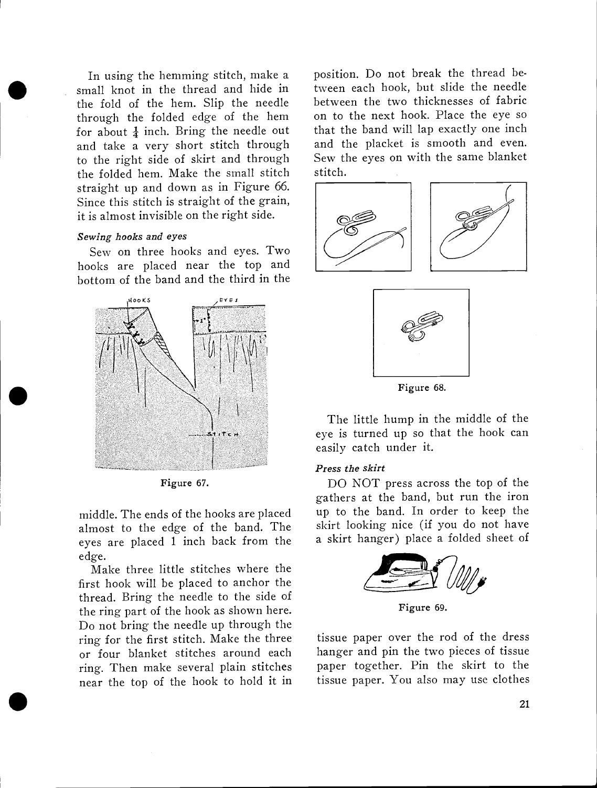In using the hemining street, make a position In using the hemming stitch, make a small knot in the thread and hide in through the folded edge of the hem for about  $\frac{1}{4}$  inch. Bring the needle out and take a very short stitch through to the right side of skirt and through the folded hem. Make the small stitch straight up and down as in Figure 66. Since this stitch is straight of the grain, it is almost invisible on the right side.

#### Sewing hooks and eyes

Sew on three hooks and eyes. Two hooks are placed near the top and bottom of the band and the third in the



Figure 67.

middle. The ends of the hooks are placed almost to the edge of the band. The eyes are placed 1 inch back from the edge.

Make three little stitches where the first hook will be placed to anchor the thread. Bring the needle to the side of the ring part of the hook as shown here. Do not bring the needle up through the ring for the first stitch. Make the three or four blanket stitches around each ring. Then make several plain stitches near the top of the hook to hold it in

 $\bullet$  . The contract of  $\bullet$ 

position. Do not break the thread between each hook, but slide the needle between the two thicknesses of fabric on to the next hook. Place the eye so that the band will lap exactly one inch and the placket is smooth and even. Sew the eyes on with the same blanket stitch.





Figure 68.

The little hump in the middle of the eye is turned up so that the hook can easily catch under it.

#### Press the skirt

DO NOT press across the top of the gathers at the band, but run the iron up to the band. In order to keep the skirt looking nice (if you do not have a skirt hanger) place a folded sheet of



Figure 69.

tissue paper over the rod of the dress hanger and pin the two pieces of tissue paper together. Pin the skirt to the tissue paper. You also may use clothes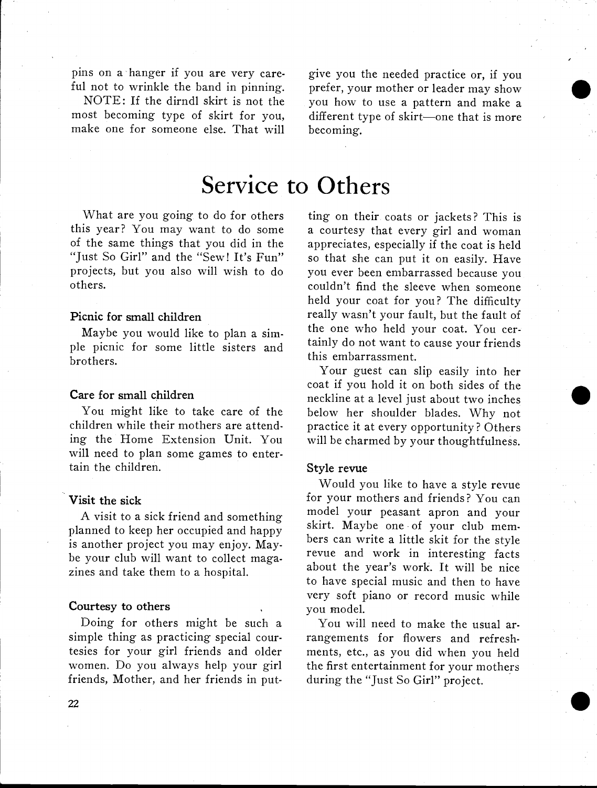pins on a hanger if you are very careful not to wrinkle the band in pinning.

NOTE: If the dirndl skirt is not the most becoming type of skirt for you, make one for someone else. That will

give you the needed practice or, if you prefer, your mother or leader may show you how to use a pattern and make a different type of skirt-one that is more becoming.

 $\bullet$ 

 $\bullet$ 

# Service to Others

What are you going to do for others this year? You may want to do some of the same things that you did in the "Just So Girl" and the "Sew! It's Fun" projects, but you also will wish to do others.

### Picnic for small children

Maybe you would like to plan a simple picnic for some little sisters and brothers.

#### Care for small children

You might like to take care of the children while their mothers are attending the Home Extension Unit. You will need to plan some games to entertain the children.

#### Visit the sick

A visit to a sick friend and something planned to keep her occupied and happy is another project you may enjoy. Maybe your club will want to collect magazines and take them to a hospital.

#### Courtesy to others

Doing for others might be such a simple thing as practicing special courtesies for your girl friends and older women. Do you always help your girl friends, Mother, and her friends in put-

ting on their coats or jackets? This is a courtesy that every girl and woman appreciates, especially if the coat is held so that she can put it on easily. Have you ever been embarrassed because you couldn't find the sleeve when someone held your coat for you? The difficulty really wasn't your fault, but the fault of the one who held your coat. You certainly do not want to cause your friends this embarrassment.

Your guest can slip easily into her coat if you hold it on both sides of the neckline at a level just about two inches below her shoulder blades. Why not practice it at every opportunity? Others will be charmed by your thoughtfulness.

#### Style revue

Would you like to have a style revue for your mothers and friends? You can model your peasant apron and your skirt. Maybe one of your club members can write a little skit for the style revue and work in interesting facts about the year's work. It will be nice to have special music and then to have very soft piano or record music while you model.

You will need to make the usual arrangements for flowers and refreshments, etc., as you did when you held the first entertainment for your mothers during the "Just So Girl" project.